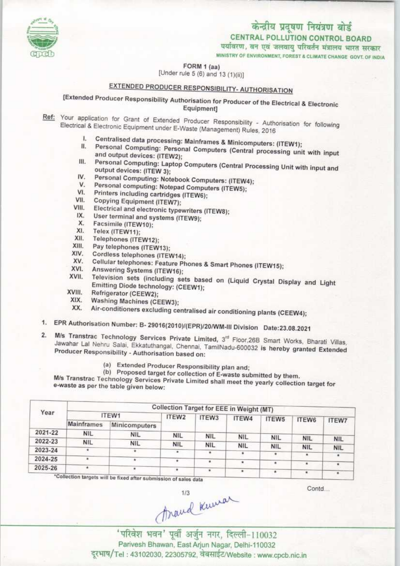

# केन्द्रीय प्रदूषण नियंत्रण बोर्ड CENTRAL POLLUTION CONTROL BOARD<br>पर्यावरण, वन एवं जलवायु परिवर्तन मंत्रालय भारत सरकार

MINISTRY OF ENVIRONMENT, FOREST & CLIMATE CHANGE GOVT, OF INDIA

FORM 1 (aa)

[Under rule 5 (6) and 13 (1)(ii)]

## EXTENDED PRODUCER RESPONSIBILITY- AUTHORISATION

[Extended Producer Responsibility Authorisation for Producer of the Electrical & Electronic Equipment]

- Ref: Your application for Grant of Extended Producer Responsibility Authorisation for following Electrical & Electronic Equipment under E-Waste (Management) Rules, 2016
	- I. Centralised data processing: Mainframes & Minicomputers: (ITEW1);
	- Personal Computing: Personal Computers (Central processing unit with input and output devices: (ITEW2);
	- III. Personal Computing: Laptop Computers (Central Processing Unit with input and output devices: (ITEW 3);
	- IV. Personal Computing: Notebook Computers: (ITEW4);<br>V. Personal computing: Notepod Computers: (ITEW4); V. Personal Computing: Notebook Computers: (ITEW<br>V. Personal computing: Notepad Computers (ITEW5);<br>VI. Printers including cartridges (ITEW6);
	-
	- VI. Printers including cartridges (ITEW6);<br>VII. Copying Equipment (ITEW7);<br>VIII. Flectrical and electronis transitional VI. Printers including cartridges (ITEW6);<br>VII. Copying Equipment (ITEW7);<br>VIII. Electrical and electronic typewriters (ITEW8);
	-
	- VII. Copying Equipment (ITEW7);<br><sup>III.</sup> Electrical and electronic typewriters<br>IX. User terminal and systems (ITEW9);
	- IX. User terminal and systems (ITEW9);<br>X. Facsimile (ITEW10);<br>XI. Telex (ITEW11);
	-
	- X. Facsimile (ITEW10);<br>XI. Telex (ITEW11);<br>XII. Telephones (ITEW11)
	- XII. Telephones (ITEW12);<br>XIII. Pay telephones (ITEW)
	- XIII. Pay telephones (ITEW13);<br>XIV. Cordiess telephones (ITE)
	- XIV. Cordiess telephones (ITEW14);<br>XV. Cellular telephones: Feature Ph
	- XV. Cellular telephones: Feature Phones & Smart Phones (ITEW15);<br>XVI. Answering Systems (ITEW16).
	- XVI. Answering Systems (ITEW16);<br>XVII. Television sets (including so
	- XVI. Cellular telephones: Feature Phones & Smart Phones (ITEW15);<br>XVI. Answering Systems (ITEW16);<br>XVII. Television sets (including sets based on (Liquid Crystal Display and Light Emitting Diode technology: (CEEW1); XVII. Television sets (inclused and the Emitting Diode technology);<br>Refrigerator (CEEW2);<br>XIX. Moshing Mark
	-
	- XIX. Washing Machines (CEEW3);
	- Air-conditioners excluding centralised air conditioning plants (CEEW4);
- 1. EPR Authorisation Number: B- 29016(2010)/(EPR)/20/WM-III Division Date:23.08.2021
- M/s Transtrac Technology Services Private Limited, 3rd Floor, 26B Smart Works, Bharati Villas,  $2.$ Jawahar Lal Nehru Salai, Ekkatuthangal, Chennai, TamilNadu-600032 is hereby granted Extended<br>Producer Responsibility - Authorisation based on:
	- (a)Extended Producer Responsibility plan and;
	- (b) Proposed target for collection of E-waste submitted by them.

M/s Transtrac Technology Services Private Limited shall meet the yearly collection target for ewaste as per the table given below:

| <b>ITEW1</b> |               | ITEW2      |                          |                                        |                                        |                                                                                         | <b>ITEW7</b>                             |  |  |
|--------------|---------------|------------|--------------------------|----------------------------------------|----------------------------------------|-----------------------------------------------------------------------------------------|------------------------------------------|--|--|
| Mainframes   | Minicomputers |            |                          |                                        |                                        |                                                                                         |                                          |  |  |
| <b>NIL</b>   | <b>NIL</b>    |            |                          |                                        |                                        |                                                                                         |                                          |  |  |
| <b>NIL</b>   |               |            |                          |                                        |                                        |                                                                                         | <b>NIL</b>                               |  |  |
|              |               | $\cdot$    |                          |                                        |                                        |                                                                                         | <b>NIL</b>                               |  |  |
|              |               |            |                          |                                        |                                        | ۰                                                                                       |                                          |  |  |
|              |               |            |                          |                                        |                                        | ٠                                                                                       |                                          |  |  |
|              |               | <b>NIL</b> | <b>NIL</b><br><b>NIL</b> | ITEW3<br><b>NIL</b><br><b>NIL</b><br>٠ | ITEW4<br><b>NIL</b><br><b>NIL</b><br>٠ | Collection Target for EEE in Weight (MT)<br>ITEW5<br><b>NIL</b><br><b>NIL</b><br>٠<br>٠ | <b>ITEW6</b><br><b>NIL</b><br><b>NIL</b> |  |  |

Collection targets will be fixed after submission of sales data

Contd...

trand Kumar

Parivesh Bhawan, East Arjun Nagar, Delhi-110032 ' परिवेश भवन' पूर्वी अर्जुन नगर, दिल्ली-110032<br>Parivesh Bhawan, East Arjun Nagar, Delhi-110032<br>दूरभाष/Tel : 43102030, 22305792, वेबसाईट/Website : www.cpcb.nic.in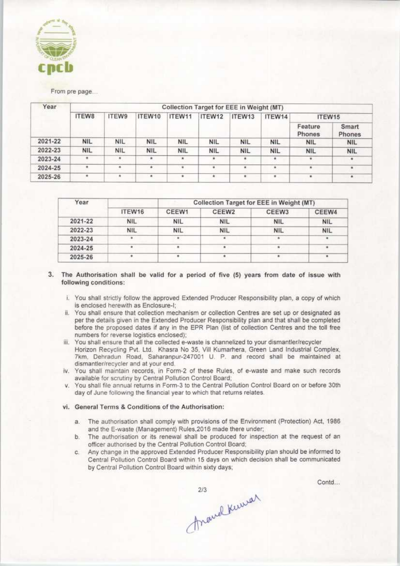

From pre page...

| Year    | Collection Target for EEE in Weight (MT) |            |            |            |            |            |            |                   |                 |  |
|---------|------------------------------------------|------------|------------|------------|------------|------------|------------|-------------------|-----------------|--|
|         | ITEW8                                    | ITEW9      | ITEW10     | ITEW11     | ITEW12     | ITEW13     | ITEW14     | ITEW15            |                 |  |
|         |                                          |            |            |            |            |            |            | Feature<br>Phones | Smart<br>Phones |  |
| 2021-22 | <b>NIL</b>                               | <b>NIL</b> | <b>NIL</b> | <b>NIL</b> | <b>NIL</b> | <b>NIL</b> | <b>NIL</b> | <b>NIL</b>        | <b>NIL</b>      |  |
| 2022-23 | <b>NIL</b>                               | <b>NIL</b> | <b>NIL</b> | <b>NIL</b> | <b>NIL</b> | <b>NIL</b> | <b>NIL</b> | <b>NIL</b>        | <b>NIL</b>      |  |
| 2023-24 |                                          | ٠          | ٠          | ۰          |            |            | ٠          |                   | ٠               |  |
| 2024-25 | ٠                                        | ۰          | ۰          | ٠          | ٠          |            | ٠          | $\pm$             | ۰               |  |
| 2025-26 |                                          | $\bullet$  | ۰          | ٠          | ۰          |            | ٠          | ٠                 | $\bullet$       |  |

| Year    |            | Collection Target for EEE in Weight (MT) |                   |            |            |  |  |
|---------|------------|------------------------------------------|-------------------|------------|------------|--|--|
|         | ITEW16     | CEEW1                                    | CEEW <sub>2</sub> | CEEW3      | CEEW4      |  |  |
| 2021-22 | <b>NIL</b> | <b>NIL</b>                               | <b>NIL</b>        | <b>NIL</b> | <b>NIL</b> |  |  |
| 2022-23 | <b>NIL</b> | <b>NIL</b>                               | <b>NIL</b>        | <b>NIL</b> | <b>NIL</b> |  |  |
| 2023-24 |            |                                          |                   |            | ۰          |  |  |
| 2024-25 |            |                                          |                   |            |            |  |  |
| 2025-26 |            |                                          |                   |            |            |  |  |

3. The Authorisation shall be valid for a period of five (5) years from date of issue with following conditions:

- i. You shall strictly follow the approved Extended Producer Responsibility plan, a copy of which is enclosed herewith as Enclosure-I;
- ii. You shall ensure that collection mechanism or collection Centres are set up or designated as per the details given in the Extended Producer Responsibility plan and that shall be completed<br>before the proposed dates if any in the EPR Plan (list of collection Centres and the toll free numbers for reverse logistics enclosed);
- iii. You shall ensure that all the collected e-waste is channelized to your dismantler/recycler Horizon Recycling Pvt. Ltd. Khasra No 35, Vill Kumarhera, Green Land Industrial Complex, 7km, Dehradun Road, Saharanpur-247001 U. P. and record shall be maintained at dismantler/recycler and at your end.
- iv. You shall maintain records, in Form-2 of these Rules, of e-waste and make such records available for scrutiny by Central Pollution Control Board;
- v. You shall file annual returns in Form-3 to the Central Pollution Control Board on or before 30th day of June following the financial year to which that returns relates.

#### vi. General Terms & Conditions of the Authorisation:

- a. The authorisation shall comply with provisions of the Environment (Protection) Act, 1986 and the E-waste (Management) Rules, 2016 made there under;
- b. The authorisation or its renewal shall be produced for inspection at the request of an officer authorised by the Central Pollution Control Board;
- c. Any change in the approved Extended Producer Responsibility plan should be informed to Central Pollution Control Board within 15 days on which decision shall be communicated by Central Pollution Control Board within sixty days;

Contd...

213 Remark